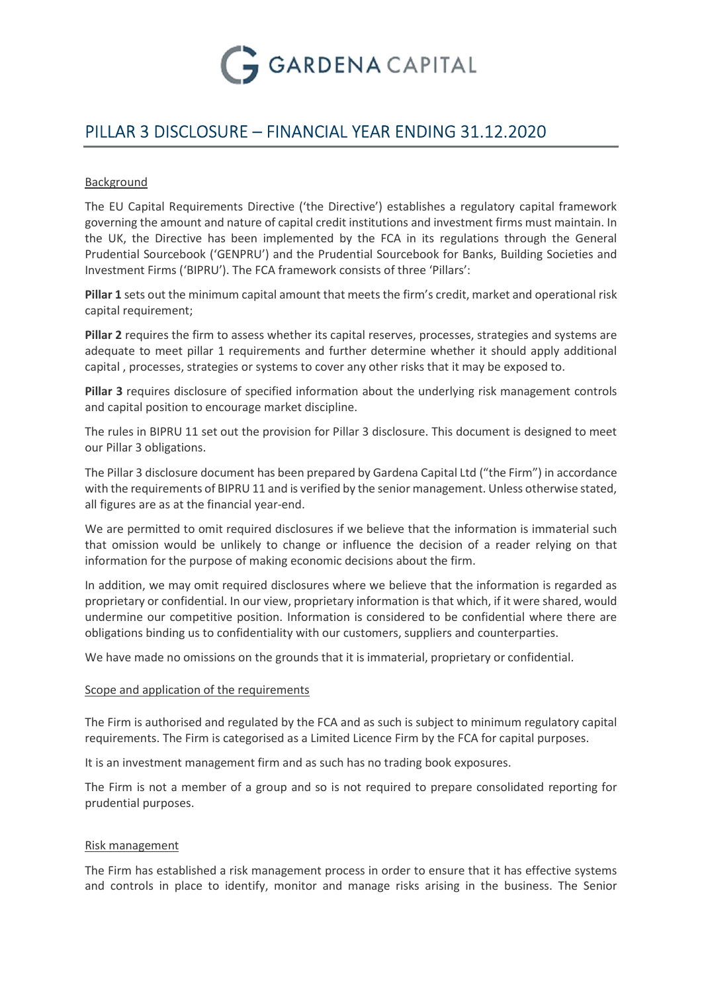

# PILLAR 3 DISCLOSURE – FINANCIAL YEAR ENDING 31.12.2020

## Background

The EU Capital Requirements Directive ('the Directive') establishes a regulatory capital framework governing the amount and nature of capital credit institutions and investment firms must maintain. In the UK, the Directive has been implemented by the FCA in its regulations through the General Prudential Sourcebook ('GENPRU') and the Prudential Sourcebook for Banks, Building Societies and Investment Firms ('BIPRU'). The FCA framework consists of three 'Pillars':

Pillar 1 sets out the minimum capital amount that meets the firm's credit, market and operational risk capital requirement;

Pillar 2 requires the firm to assess whether its capital reserves, processes, strategies and systems are adequate to meet pillar 1 requirements and further determine whether it should apply additional capital , processes, strategies or systems to cover any other risks that it may be exposed to.

Pillar 3 requires disclosure of specified information about the underlying risk management controls and capital position to encourage market discipline.

The rules in BIPRU 11 set out the provision for Pillar 3 disclosure. This document is designed to meet our Pillar 3 obligations.

The Pillar 3 disclosure document has been prepared by Gardena Capital Ltd ("the Firm") in accordance with the requirements of BIPRU 11 and is verified by the senior management. Unless otherwise stated, all figures are as at the financial year-end.

We are permitted to omit required disclosures if we believe that the information is immaterial such that omission would be unlikely to change or influence the decision of a reader relying on that information for the purpose of making economic decisions about the firm.

In addition, we may omit required disclosures where we believe that the information is regarded as proprietary or confidential. In our view, proprietary information is that which, if it were shared, would undermine our competitive position. Information is considered to be confidential where there are obligations binding us to confidentiality with our customers, suppliers and counterparties.

We have made no omissions on the grounds that it is immaterial, proprietary or confidential.

#### Scope and application of the requirements

The Firm is authorised and regulated by the FCA and as such is subject to minimum regulatory capital requirements. The Firm is categorised as a Limited Licence Firm by the FCA for capital purposes.

It is an investment management firm and as such has no trading book exposures.

The Firm is not a member of a group and so is not required to prepare consolidated reporting for prudential purposes.

#### Risk management

The Firm has established a risk management process in order to ensure that it has effective systems and controls in place to identify, monitor and manage risks arising in the business. The Senior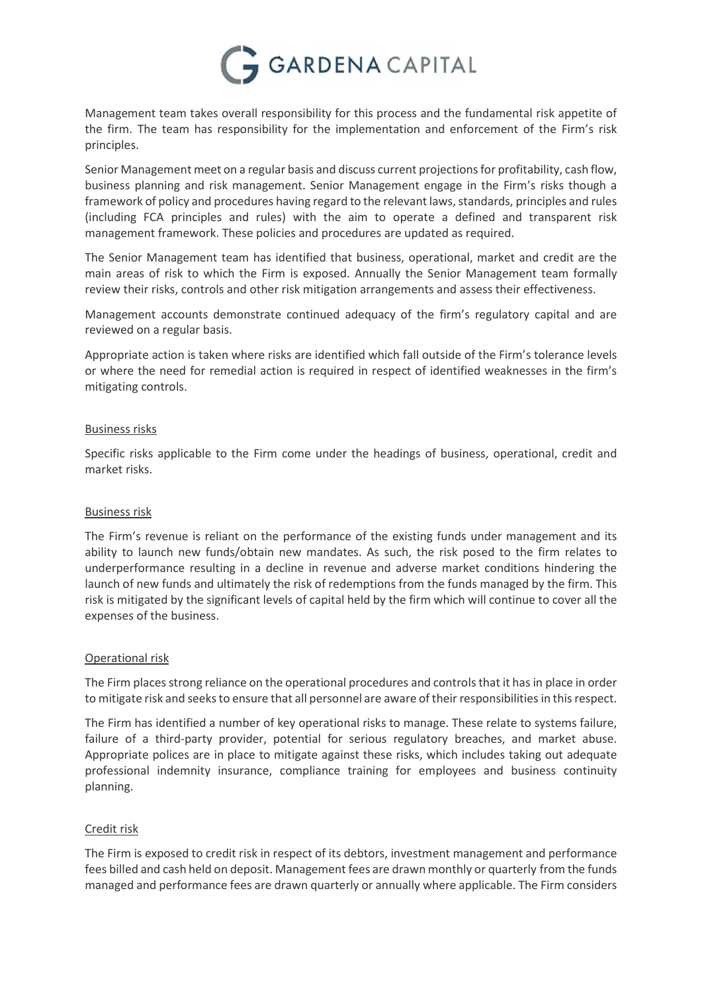

Management team takes overall responsibility for this process and the fundamental risk appetite of the firm. The team has responsibility for the implementation and enforcement of the Firm's risk principles.

Senior Management meet on a regular basis and discuss current projections for profitability, cash flow, business planning and risk management. Senior Management engage in the Firm's risks though a framework of policy and procedures having regard to the relevant laws, standards, principles and rules (including FCA principles and rules) with the aim to operate a defined and transparent risk management framework. These policies and procedures are updated as required.

The Senior Management team has identified that business, operational, market and credit are the main areas of risk to which the Firm is exposed. Annually the Senior Management team formally review their risks, controls and other risk mitigation arrangements and assess their effectiveness.

Management accounts demonstrate continued adequacy of the firm's regulatory capital and are reviewed on a regular basis.

Appropriate action is taken where risks are identified which fall outside of the Firm's tolerance levels or where the need for remedial action is required in respect of identified weaknesses in the firm's mitigating controls.

## Business risks

Specific risks applicable to the Firm come under the headings of business, operational, credit and market risks.

# Business risk

The Firm's revenue is reliant on the performance of the existing funds under management and its ability to launch new funds/obtain new mandates. As such, the risk posed to the firm relates to underperformance resulting in a decline in revenue and adverse market conditions hindering the launch of new funds and ultimately the risk of redemptions from the funds managed by the firm. This risk is mitigated by the significant levels of capital held by the firm which will continue to cover all the expenses of the business.

#### Operational risk

The Firm places strong reliance on the operational procedures and controls that it has in place in order to mitigate risk and seeks to ensure that all personnel are aware of their responsibilities in this respect.

The Firm has identified a number of key operational risks to manage. These relate to systems failure, failure of a third-party provider, potential for serious regulatory breaches, and market abuse. Appropriate polices are in place to mitigate against these risks, which includes taking out adequate professional indemnity insurance, compliance training for employees and business continuity planning.

#### Credit risk

The Firm is exposed to credit risk in respect of its debtors, investment management and performance fees billed and cash held on deposit. Management fees are drawn monthly or quarterly from the funds managed and performance fees are drawn quarterly or annually where applicable. The Firm considers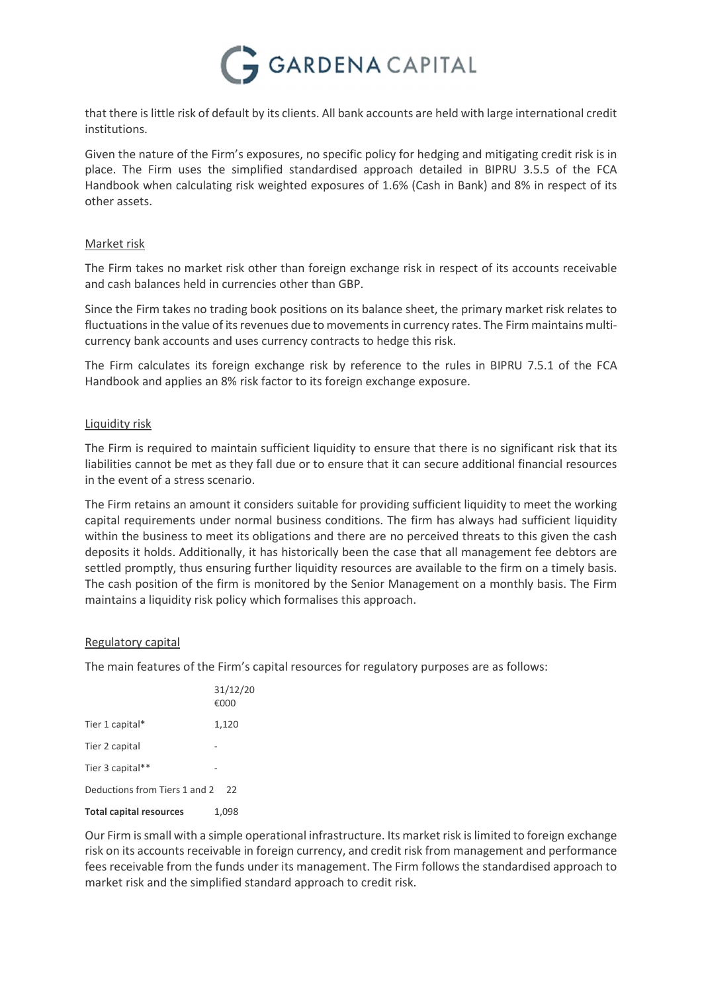

that there is little risk of default by its clients. All bank accounts are held with large international credit institutions.

Given the nature of the Firm's exposures, no specific policy for hedging and mitigating credit risk is in place. The Firm uses the simplified standardised approach detailed in BIPRU 3.5.5 of the FCA Handbook when calculating risk weighted exposures of 1.6% (Cash in Bank) and 8% in respect of its other assets.

## Market risk

The Firm takes no market risk other than foreign exchange risk in respect of its accounts receivable and cash balances held in currencies other than GBP.

Since the Firm takes no trading book positions on its balance sheet, the primary market risk relates to fluctuations in the value of its revenues due to movements in currency rates. The Firm maintains multicurrency bank accounts and uses currency contracts to hedge this risk.

The Firm calculates its foreign exchange risk by reference to the rules in BIPRU 7.5.1 of the FCA Handbook and applies an 8% risk factor to its foreign exchange exposure.

## Liquidity risk

The Firm is required to maintain sufficient liquidity to ensure that there is no significant risk that its liabilities cannot be met as they fall due or to ensure that it can secure additional financial resources in the event of a stress scenario.

The Firm retains an amount it considers suitable for providing sufficient liquidity to meet the working capital requirements under normal business conditions. The firm has always had sufficient liquidity within the business to meet its obligations and there are no perceived threats to this given the cash deposits it holds. Additionally, it has historically been the case that all management fee debtors are settled promptly, thus ensuring further liquidity resources are available to the firm on a timely basis. The cash position of the firm is monitored by the Senior Management on a monthly basis. The Firm maintains a liquidity risk policy which formalises this approach.

#### Regulatory capital

The main features of the Firm's capital resources for regulatory purposes are as follows:

|                                | 31/12/20<br>€000 |
|--------------------------------|------------------|
| Tier 1 capital*                | 1,120            |
| Tier 2 capital                 |                  |
| Tier 3 capital**               |                  |
| Deductions from Tiers 1 and 2  | 22               |
| <b>Total capital resources</b> | 1.098            |

Our Firm is small with a simple operational infrastructure. Its market risk is limited to foreign exchange risk on its accounts receivable in foreign currency, and credit risk from management and performance fees receivable from the funds under its management. The Firm follows the standardised approach to market risk and the simplified standard approach to credit risk.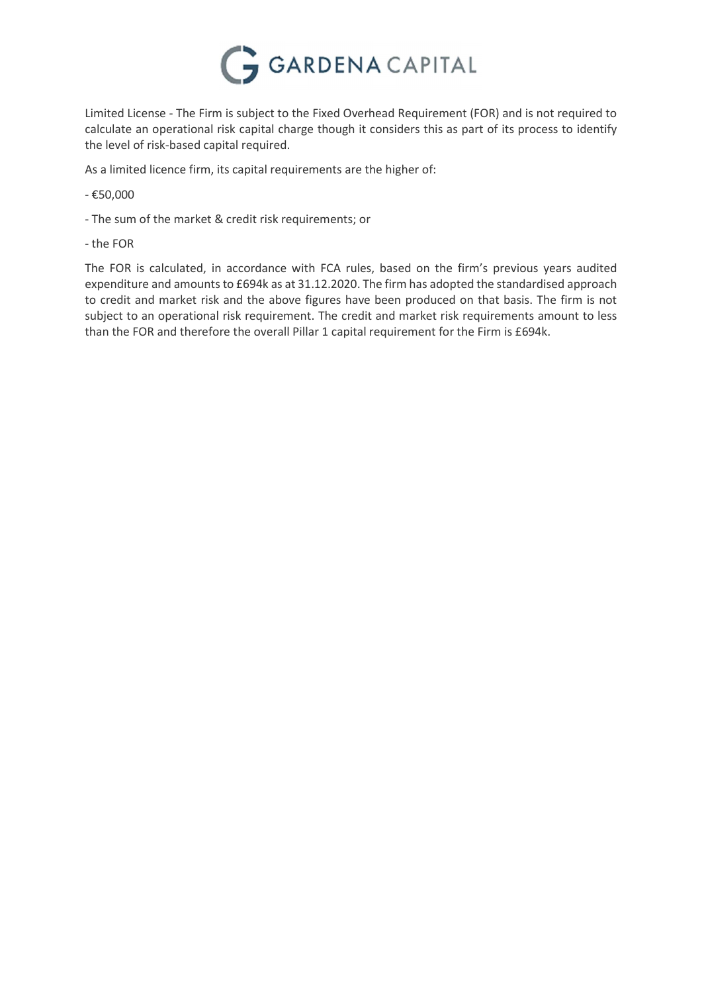

Limited License - The Firm is subject to the Fixed Overhead Requirement (FOR) and is not required to calculate an operational risk capital charge though it considers this as part of its process to identify the level of risk-based capital required.

As a limited licence firm, its capital requirements are the higher of:

- €50,000
- The sum of the market & credit risk requirements; or
- the FOR

The FOR is calculated, in accordance with FCA rules, based on the firm's previous years audited expenditure and amounts to £694k as at 31.12.2020. The firm has adopted the standardised approach to credit and market risk and the above figures have been produced on that basis. The firm is not subject to an operational risk requirement. The credit and market risk requirements amount to less than the FOR and therefore the overall Pillar 1 capital requirement for the Firm is £694k.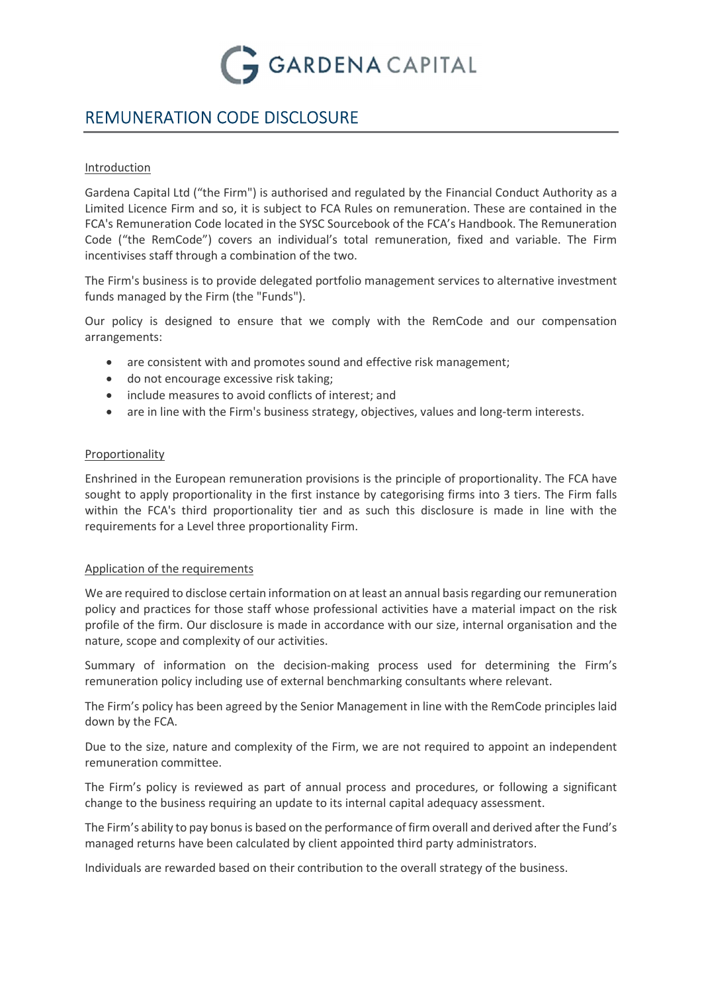

# REMUNERATION CODE DISCLOSURE

## Introduction

Gardena Capital Ltd ("the Firm") is authorised and regulated by the Financial Conduct Authority as a Limited Licence Firm and so, it is subject to FCA Rules on remuneration. These are contained in the FCA's Remuneration Code located in the SYSC Sourcebook of the FCA's Handbook. The Remuneration Code ("the RemCode") covers an individual's total remuneration, fixed and variable. The Firm incentivises staff through a combination of the two.

The Firm's business is to provide delegated portfolio management services to alternative investment funds managed by the Firm (the "Funds").

Our policy is designed to ensure that we comply with the RemCode and our compensation arrangements:

- are consistent with and promotes sound and effective risk management;
- do not encourage excessive risk taking;
- include measures to avoid conflicts of interest; and
- are in line with the Firm's business strategy, objectives, values and long-term interests.

# Proportionality

Enshrined in the European remuneration provisions is the principle of proportionality. The FCA have sought to apply proportionality in the first instance by categorising firms into 3 tiers. The Firm falls within the FCA's third proportionality tier and as such this disclosure is made in line with the requirements for a Level three proportionality Firm.

# Application of the requirements

We are required to disclose certain information on at least an annual basis regarding our remuneration policy and practices for those staff whose professional activities have a material impact on the risk profile of the firm. Our disclosure is made in accordance with our size, internal organisation and the nature, scope and complexity of our activities.

Summary of information on the decision-making process used for determining the Firm's remuneration policy including use of external benchmarking consultants where relevant.

The Firm's policy has been agreed by the Senior Management in line with the RemCode principles laid down by the FCA.

Due to the size, nature and complexity of the Firm, we are not required to appoint an independent remuneration committee.

The Firm's policy is reviewed as part of annual process and procedures, or following a significant change to the business requiring an update to its internal capital adequacy assessment.

The Firm's ability to pay bonus is based on the performance of firm overall and derived after the Fund's managed returns have been calculated by client appointed third party administrators.

Individuals are rewarded based on their contribution to the overall strategy of the business.